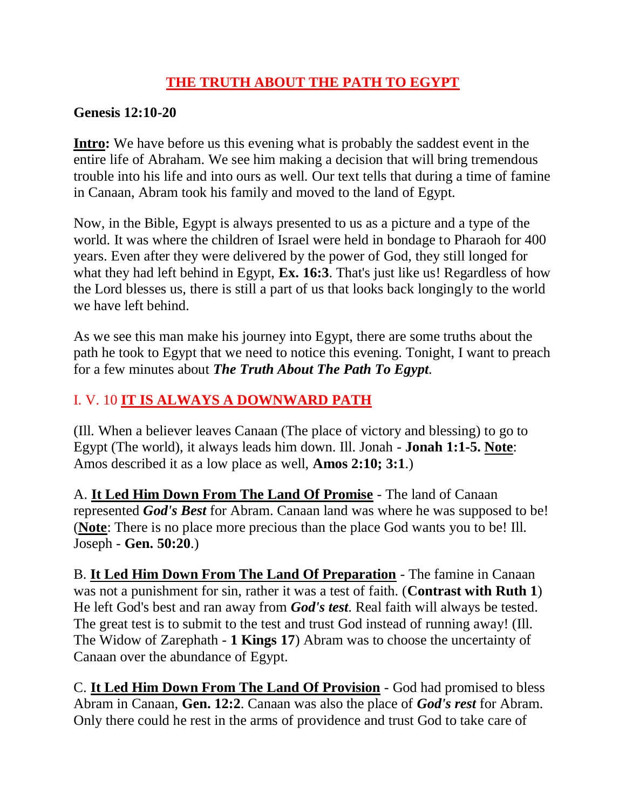### **THE TRUTH ABOUT THE PATH TO EGYPT**

#### **Genesis 12:10-20**

**Intro:** We have before us this evening what is probably the saddest event in the entire life of Abraham. We see him making a decision that will bring tremendous trouble into his life and into ours as well. Our text tells that during a time of famine in Canaan, Abram took his family and moved to the land of Egypt.

Now, in the Bible, Egypt is always presented to us as a picture and a type of the world. It was where the children of Israel were held in bondage to Pharaoh for 400 years. Even after they were delivered by the power of God, they still longed for what they had left behind in Egypt, **Ex. 16:3**. That's just like us! Regardless of how the Lord blesses us, there is still a part of us that looks back longingly to the world we have left behind.

As we see this man make his journey into Egypt, there are some truths about the path he took to Egypt that we need to notice this evening. Tonight, I want to preach for a few minutes about *The Truth About The Path To Egypt*.

## I. V. 10 **IT IS ALWAYS A DOWNWARD PATH**

(Ill. When a believer leaves Canaan (The place of victory and blessing) to go to Egypt (The world), it always leads him down. Ill. Jonah - **Jonah 1:1-5. Note**: Amos described it as a low place as well, **Amos 2:10; 3:1**.)

A. **It Led Him Down From The Land Of Promise** - The land of Canaan represented *God's Best* for Abram. Canaan land was where he was supposed to be! (**Note**: There is no place more precious than the place God wants you to be! Ill. Joseph - **Gen. 50:20**.)

B. **It Led Him Down From The Land Of Preparation** - The famine in Canaan was not a punishment for sin, rather it was a test of faith. (**Contrast with Ruth 1**) He left God's best and ran away from *God's test*. Real faith will always be tested. The great test is to submit to the test and trust God instead of running away! (Ill. The Widow of Zarephath - **1 Kings 17**) Abram was to choose the uncertainty of Canaan over the abundance of Egypt.

C. **It Led Him Down From The Land Of Provision** - God had promised to bless Abram in Canaan, **Gen. 12:2**. Canaan was also the place of *God's rest* for Abram. Only there could he rest in the arms of providence and trust God to take care of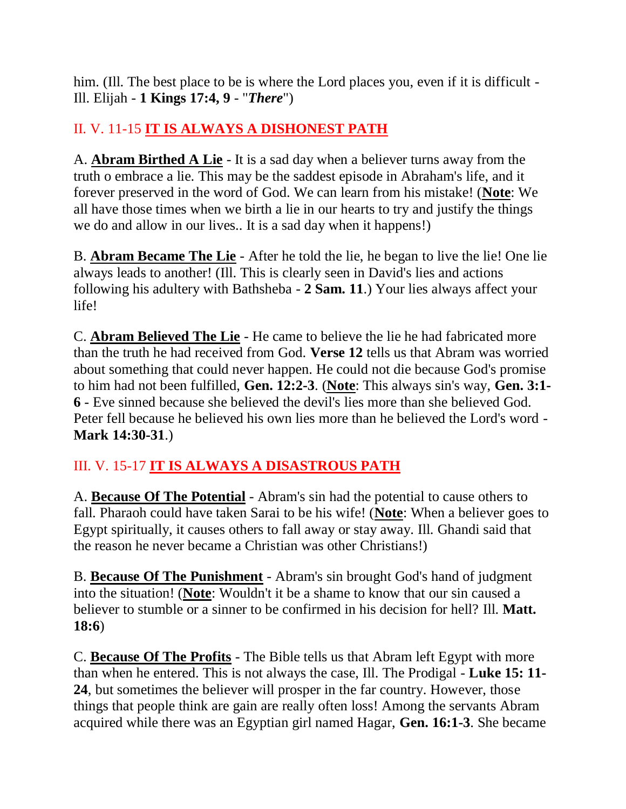him. (Ill. The best place to be is where the Lord places you, even if it is difficult -Ill. Elijah - **1 Kings 17:4, 9** - "*There*")

## II. V. 11-15 **IT IS ALWAYS A DISHONEST PATH**

A. **Abram Birthed A Lie** - It is a sad day when a believer turns away from the truth o embrace a lie. This may be the saddest episode in Abraham's life, and it forever preserved in the word of God. We can learn from his mistake! (**Note**: We all have those times when we birth a lie in our hearts to try and justify the things we do and allow in our lives.. It is a sad day when it happens!)

B. **Abram Became The Lie** - After he told the lie, he began to live the lie! One lie always leads to another! (Ill. This is clearly seen in David's lies and actions following his adultery with Bathsheba - **2 Sam. 11**.) Your lies always affect your life!

C. **Abram Believed The Lie** - He came to believe the lie he had fabricated more than the truth he had received from God. **Verse 12** tells us that Abram was worried about something that could never happen. He could not die because God's promise to him had not been fulfilled, **Gen. 12:2-3**. (**Note**: This always sin's way, **Gen. 3:1- 6** - Eve sinned because she believed the devil's lies more than she believed God. Peter fell because he believed his own lies more than he believed the Lord's word - **Mark 14:30-31**.)

# III. V. 15-17 **IT IS ALWAYS A DISASTROUS PATH**

A. **Because Of The Potential** - Abram's sin had the potential to cause others to fall. Pharaoh could have taken Sarai to be his wife! (**Note**: When a believer goes to Egypt spiritually, it causes others to fall away or stay away. Ill. Ghandi said that the reason he never became a Christian was other Christians!)

B. **Because Of The Punishment** - Abram's sin brought God's hand of judgment into the situation! (**Note**: Wouldn't it be a shame to know that our sin caused a believer to stumble or a sinner to be confirmed in his decision for hell? Ill. **Matt. 18:6**)

C. **Because Of The Profits** - The Bible tells us that Abram left Egypt with more than when he entered. This is not always the case, Ill. The Prodigal - **Luke 15: 11- 24**, but sometimes the believer will prosper in the far country. However, those things that people think are gain are really often loss! Among the servants Abram acquired while there was an Egyptian girl named Hagar, **Gen. 16:1-3**. She became